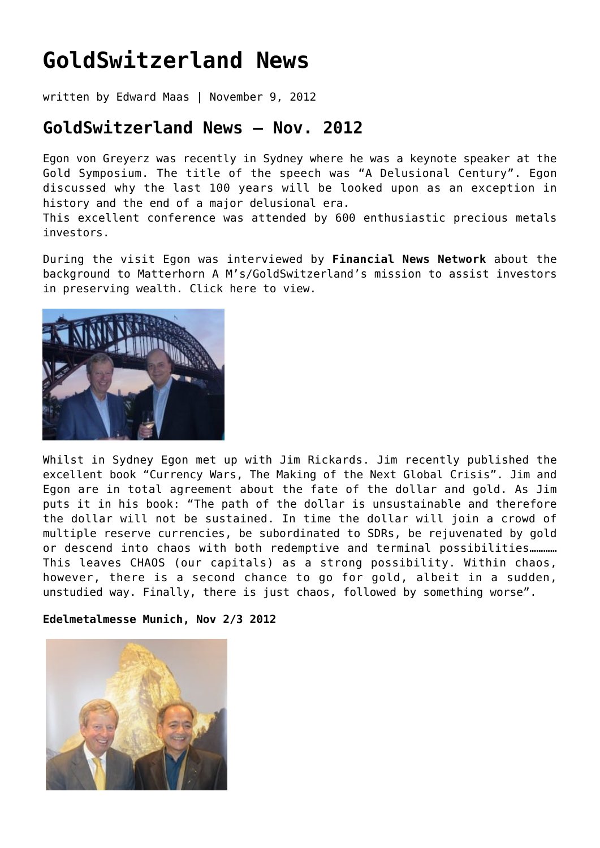## **[GoldSwitzerland News](https://goldswitzerland.com/goldswitzerland-news/)**

written by Edward Maas | November 9, 2012

## **GoldSwitzerland News – Nov. 2012**

Egon von Greyerz was recently in Sydney where he was a keynote speaker at the Gold Symposium. The title of the speech was "A Delusional Century". Egon discussed why the last 100 years will be looked upon as an exception in history and the end of a major delusional era.

This excellent conference was attended by 600 enthusiastic precious metals investors.

During the visit Egon was interviewed by **Financial News Network** about the background to Matterhorn A M's/GoldSwitzerland's mission to assist investors in preserving wealth. [Click here to view](https://goldswitzerland.com/goldswitzerland-publications-interviews/fnn-australia-interview-with-egon-von-greyerz/).



Whilst in Sydney Egon met up with Jim Rickards. Jim recently published the excellent book "Currency Wars, The Making of the Next Global Crisis". Jim and Egon are in total agreement about the fate of the dollar and gold. As Jim puts it in his book: "The path of the dollar is unsustainable and therefore the dollar will not be sustained. In time the dollar will join a crowd of multiple reserve currencies, be subordinated to SDRs, be rejuvenated by gold or descend into chaos with both redemptive and terminal possibilities............ This leaves CHAOS (our capitals) as a strong possibility. Within chaos, however, there is a second chance to go for gold, albeit in a sudden, unstudied way. Finally, there is just chaos, followed by something worse".

**Edelmetalmesse Munich, Nov 2/3 2012**